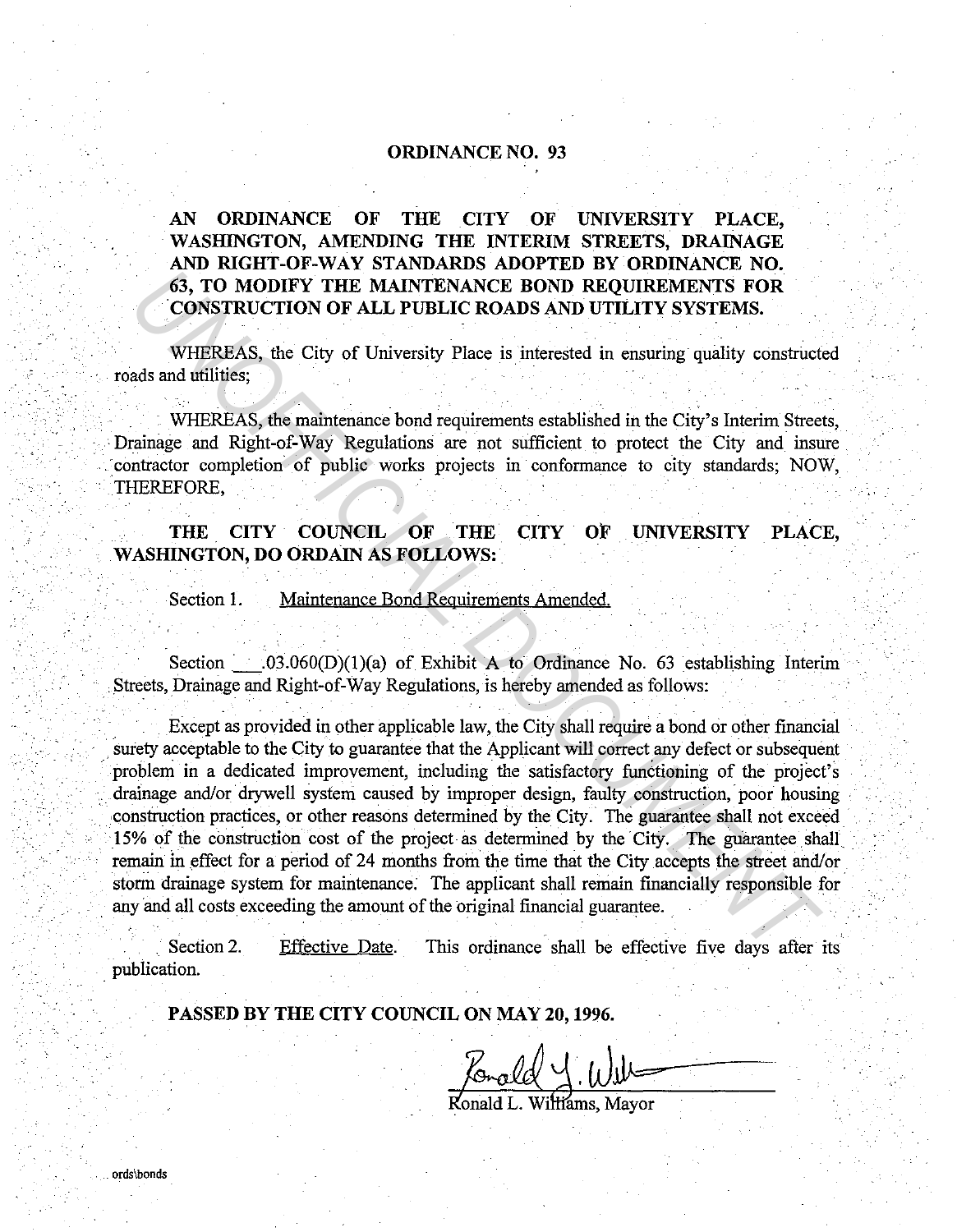## **ORDINANCE NO. 93**

**AN ORDINANCE OF THE CITY OF UNIVERSITY PLACE, WASHINGTON, AMENDING THE INTERIM STREETS, DRAINAGE AND RIGHT-OF-WAY STANDARDS ADOPTED BY ORDINANCE NO.**  63, **TO MODIFY THE MAINTENANCE BOND REQUIREMENTS FOR**  . **CONSTRUCTION OF ALL PUBLIC ROADS AND UTILITY SYSTEMS.** 

WHEREAS, the City of University Place is interested in ensuring quality constructed roads and utilities;

WHEREAS, the maintenance bond requirements established in the City's Interim Streets, • Drainage and Right-of-Way Regulations are not sufficient to protect the City and insure contractor completion of public works projects in conformance to city standards; NOW, THEREFORE,

## **THE CITY COUNCIL OF THE CITY OF UNIVERSITY PLACE, WASHINGTON, DO ORDAIN AS FOLLOWS:**

Section 1. Maintenance Bond Requirements Amended.

Section.\_· \_.03.060(D)(l)(a) of Exhibit A to Ordinance No. 63 establishing Interim . Streets, Drainage and Right-of-Way Regulations, is hereby amended as follows:

Except as provided in other applicable law, the City shall require a bond or other financial surety acceptable to the City to guarantee that the Applicant will correct any defect or subsequent problem in a dedicated improvement, including the satisfactory functioning of the project's drainage and/or drywell system caused by improper design, faulty construction, poor housing construction practices, or other reasons determined by the City. The guarantee shall not exceed 15% of the construction cost of the project as determined by the City. The guarantee shall remain in effect for a period of 24 months from the time that the City accepts the street and/or storm drainage system for maintenance. The applicant shall remain financially responsible for . any and all costs exceeding the amount of the original financial guarantee. **EXECTION OF ALL PUBLIC ROADS AND REQUIREMENTS FOR**<br> **CONSTRUCTION OF ALL PUBLIC ROADS AND UTILITY SYSTEMS.**<br> **WHEREAS, the City of University Place is interested in ensuring quality constructeds and utilities;**<br> **WHEREAS** 

Section 2. . publication. Effective Date. This ordinance shall be effective five days after its

**PASSED BY THE CITY COUNCIL ON MAY 20, 1996.** 

Romald 4. Will-